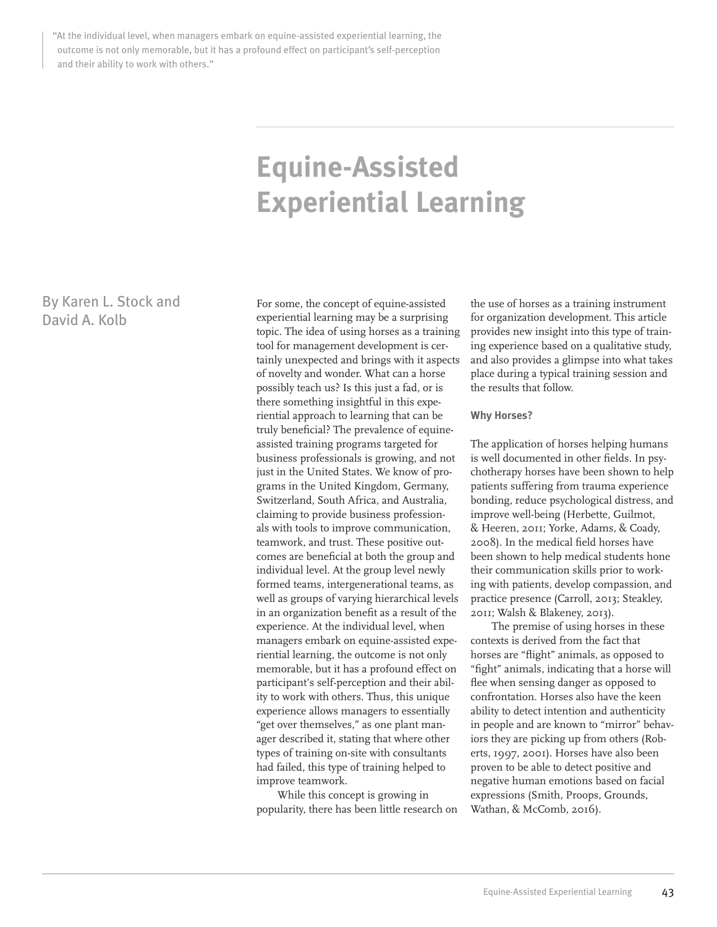"At the individual level, when managers embark on equine-assisted experiential learning, the outcome is not only memorable, but it has a profound effect on participant's self-perception and their ability to work with others."

# **Equine-Assisted Experiential Learning**

By Karen L. Stock and David A. Kolb

For some, the concept of equine-assisted experiential learning may be a surprising topic. The idea of using horses as a training tool for management development is certainly unexpected and brings with it aspects of novelty and wonder. What can a horse possibly teach us? Is this just a fad, or is there something insightful in this experiential approach to learning that can be truly beneficial? The prevalence of equineassisted training programs targeted for business professionals is growing, and not just in the United States. We know of programs in the United Kingdom, Germany, Switzerland, South Africa, and Australia, claiming to provide business professionals with tools to improve communication, teamwork, and trust. These positive outcomes are beneficial at both the group and individual level. At the group level newly formed teams, intergenerational teams, as well as groups of varying hierarchical levels in an organization benefit as a result of the experience. At the individual level, when managers embark on equine-assisted experiential learning, the outcome is not only memorable, but it has a profound effect on participant's self-perception and their ability to work with others. Thus, this unique experience allows managers to essentially "get over themselves," as one plant manager described it, stating that where other types of training on-site with consultants had failed, this type of training helped to improve teamwork.

While this concept is growing in popularity, there has been little research on

the use of horses as a training instrument for organization development. This article provides new insight into this type of training experience based on a qualitative study, and also provides a glimpse into what takes place during a typical training session and the results that follow.

#### **Why Horses?**

The application of horses helping humans is well documented in other fields. In psychotherapy horses have been shown to help patients suffering from trauma experience bonding, reduce psychological distress, and improve well-being (Herbette, Guilmot, & Heeren, 2011; Yorke, Adams, & Coady, 2008). In the medical field horses have been shown to help medical students hone their communication skills prior to working with patients, develop compassion, and practice presence (Carroll, 2013; Steakley, 2011; Walsh & Blakeney, 2013).

The premise of using horses in these contexts is derived from the fact that horses are "flight" animals, as opposed to "fight" animals, indicating that a horse will flee when sensing danger as opposed to confrontation. Horses also have the keen ability to detect intention and authenticity in people and are known to "mirror" behaviors they are picking up from others (Roberts, 1997, 2001). Horses have also been proven to be able to detect positive and negative human emotions based on facial expressions (Smith, Proops, Grounds, Wathan, & McComb, 2016).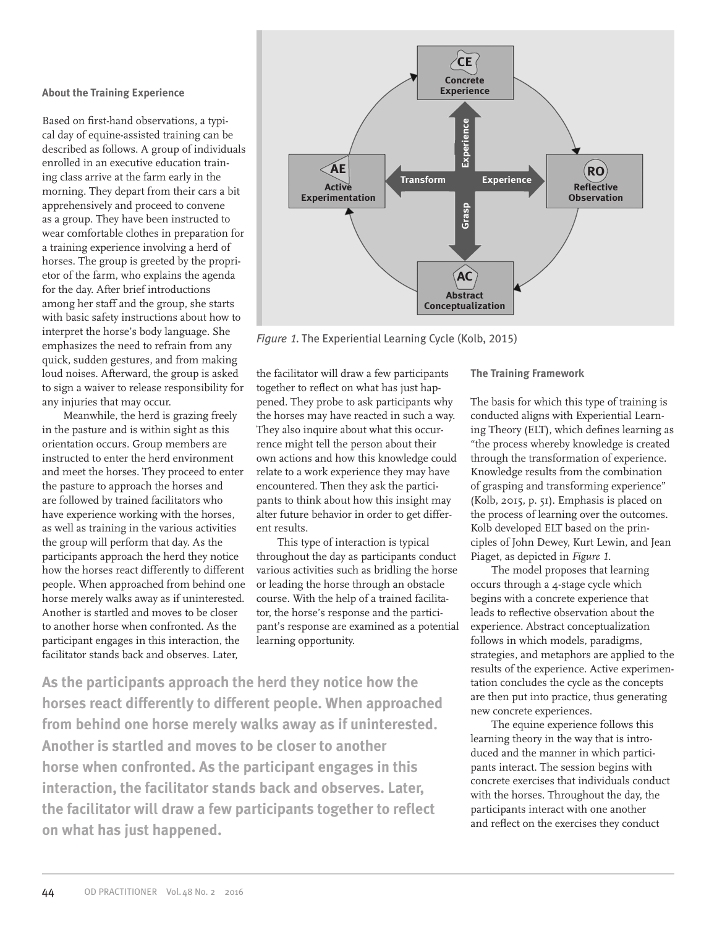#### **About the Training Experience**

Based on first-hand observations, a typical day of equine-assisted training can be described as follows. A group of individuals enrolled in an executive education training class arrive at the farm early in the morning. They depart from their cars a bit apprehensively and proceed to convene as a group. They have been instructed to wear comfortable clothes in preparation for a training experience involving a herd of horses. The group is greeted by the proprietor of the farm, who explains the agenda for the day. After brief introductions among her staff and the group, she starts with basic safety instructions about how to interpret the horse's body language. She emphasizes the need to refrain from any quick, sudden gestures, and from making loud noises. Afterward, the group is asked to sign a waiver to release responsibility for any injuries that may occur.

Meanwhile, the herd is grazing freely in the pasture and is within sight as this orientation occurs. Group members are instructed to enter the herd environment and meet the horses. They proceed to enter the pasture to approach the horses and are followed by trained facilitators who have experience working with the horses, as well as training in the various activities the group will perform that day. As the participants approach the herd they notice how the horses react differently to different people. When approached from behind one horse merely walks away as if uninterested. Another is startled and moves to be closer to another horse when confronted. As the participant engages in this interaction, the facilitator stands back and observes. Later,



*Figure* 1. The Experiential Learning Cycle (Kolb, 2015)

the facilitator will draw a few participants together to reflect on what has just happened. They probe to ask participants why the horses may have reacted in such a way. They also inquire about what this occurrence might tell the person about their own actions and how this knowledge could relate to a work experience they may have encountered. Then they ask the participants to think about how this insight may alter future behavior in order to get different results.

This type of interaction is typical throughout the day as participants conduct various activities such as bridling the horse or leading the horse through an obstacle course. With the help of a trained facilitator, the horse's response and the participant's response are examined as a potential learning opportunity.

**As the participants approach the herd they notice how the horses react differently to different people. When approached from behind one horse merely walks away as if uninterested. Another is startled and moves to be closer to another horse when confronted. As the participant engages in this interaction, the facilitator stands back and observes. Later, the facilitator will draw a few participants together to reflect on what has just happened.**

**The Training Framework**

The basis for which this type of training is conducted aligns with Experiential Learning Theory (ELT), which defines learning as "the process whereby knowledge is created through the transformation of experience. Knowledge results from the combination of grasping and transforming experience" (Kolb, 2015, p. 51). Emphasis is placed on the process of learning over the outcomes. Kolb developed ELT based on the principles of John Dewey, Kurt Lewin, and Jean Piaget, as depicted in *Figure 1*.

The model proposes that learning occurs through a 4-stage cycle which begins with a concrete experience that leads to reflective observation about the experience. Abstract conceptualization follows in which models, paradigms, strategies, and metaphors are applied to the results of the experience. Active experimentation concludes the cycle as the concepts are then put into practice, thus generating new concrete experiences.

The equine experience follows this learning theory in the way that is introduced and the manner in which participants interact. The session begins with concrete exercises that individuals conduct with the horses. Throughout the day, the participants interact with one another and reflect on the exercises they conduct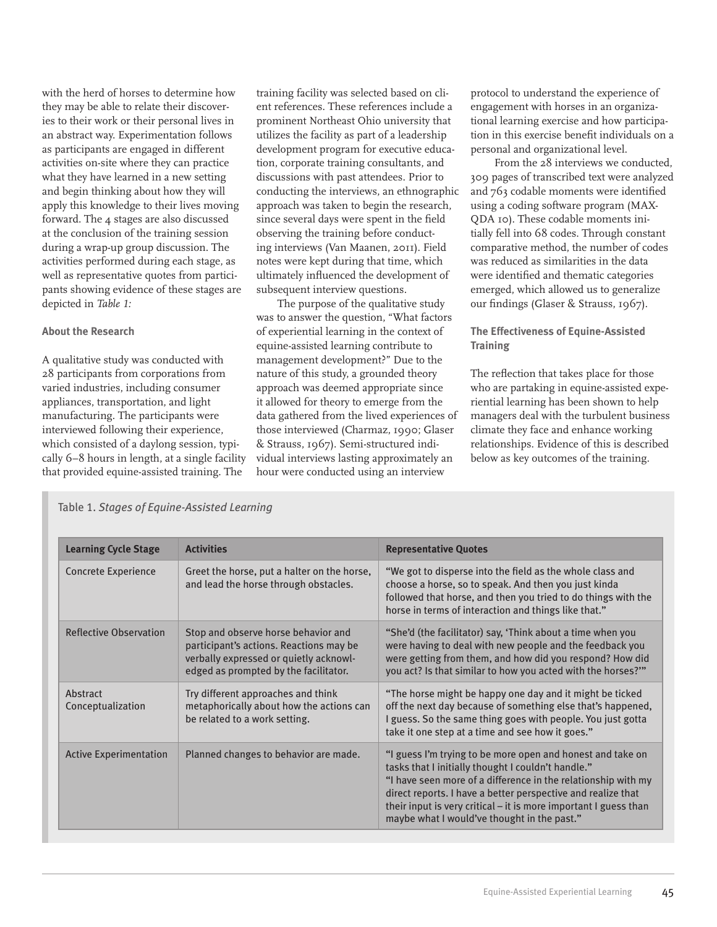with the herd of horses to determine how they may be able to relate their discoveries to their work or their personal lives in an abstract way. Experimentation follows as participants are engaged in different activities on-site where they can practice what they have learned in a new setting and begin thinking about how they will apply this knowledge to their lives moving forward. The 4 stages are also discussed at the conclusion of the training session during a wrap-up group discussion. The activities performed during each stage, as well as representative quotes from participants showing evidence of these stages are depicted in *Table 1:*

# **About the Research**

A qualitative study was conducted with 28 participants from corporations from varied industries, including consumer appliances, transportation, and light manufacturing. The participants were interviewed following their experience, which consisted of a daylong session, typically 6–8 hours in length, at a single facility that provided equine-assisted training. The

training facility was selected based on client references. These references include a prominent Northeast Ohio university that utilizes the facility as part of a leadership development program for executive education, corporate training consultants, and discussions with past attendees. Prior to conducting the interviews, an ethnographic approach was taken to begin the research, since several days were spent in the field observing the training before conducting interviews (Van Maanen, 2011). Field notes were kept during that time, which ultimately influenced the development of subsequent interview questions.

The purpose of the qualitative study was to answer the question, "What factors of experiential learning in the context of equine-assisted learning contribute to management development?" Due to the nature of this study, a grounded theory approach was deemed appropriate since it allowed for theory to emerge from the data gathered from the lived experiences of those interviewed (Charmaz, 1990; Glaser & Strauss, 1967). Semi-structured individual interviews lasting approximately an hour were conducted using an interview

protocol to understand the experience of engagement with horses in an organizational learning exercise and how participation in this exercise benefit individuals on a personal and organizational level.

From the 28 interviews we conducted, 309 pages of transcribed text were analyzed and 763 codable moments were identified using a coding software program (MAX-QDA 10). These codable moments initially fell into 68 codes. Through constant comparative method, the number of codes was reduced as similarities in the data were identified and thematic categories emerged, which allowed us to generalize our findings (Glaser & Strauss, 1967).

# **The Effectiveness of Equine-Assisted Training**

The reflection that takes place for those who are partaking in equine-assisted experiential learning has been shown to help managers deal with the turbulent business climate they face and enhance working relationships. Evidence of this is described below as key outcomes of the training.

| <b>Learning Cycle Stage</b>   | <b>Activities</b>                                                                                                                                                 | <b>Representative Quotes</b>                                                                                                                                                                                                                                                                                                                                         |
|-------------------------------|-------------------------------------------------------------------------------------------------------------------------------------------------------------------|----------------------------------------------------------------------------------------------------------------------------------------------------------------------------------------------------------------------------------------------------------------------------------------------------------------------------------------------------------------------|
| Concrete Experience           | Greet the horse, put a halter on the horse,<br>and lead the horse through obstacles.                                                                              | "We got to disperse into the field as the whole class and<br>choose a horse, so to speak. And then you just kinda<br>followed that horse, and then you tried to do things with the<br>horse in terms of interaction and things like that."                                                                                                                           |
| <b>Reflective Observation</b> | Stop and observe horse behavior and<br>participant's actions. Reactions may be<br>verbally expressed or quietly acknowl-<br>edged as prompted by the facilitator. | "She'd (the facilitator) say, 'Think about a time when you<br>were having to deal with new people and the feedback you<br>were getting from them, and how did you respond? How did<br>you act? Is that similar to how you acted with the horses?""                                                                                                                   |
| Abstract<br>Conceptualization | Try different approaches and think<br>metaphorically about how the actions can<br>be related to a work setting.                                                   | "The horse might be happy one day and it might be ticked<br>off the next day because of something else that's happened,<br>I guess. So the same thing goes with people. You just gotta<br>take it one step at a time and see how it goes."                                                                                                                           |
| <b>Active Experimentation</b> | Planned changes to behavior are made.                                                                                                                             | "I guess I'm trying to be more open and honest and take on<br>tasks that I initially thought I couldn't handle."<br>"I have seen more of a difference in the relationship with my<br>direct reports. I have a better perspective and realize that<br>their input is very critical - it is more important I guess than<br>maybe what I would've thought in the past." |

Table 1. *Stages of Equine-Assisted Learning*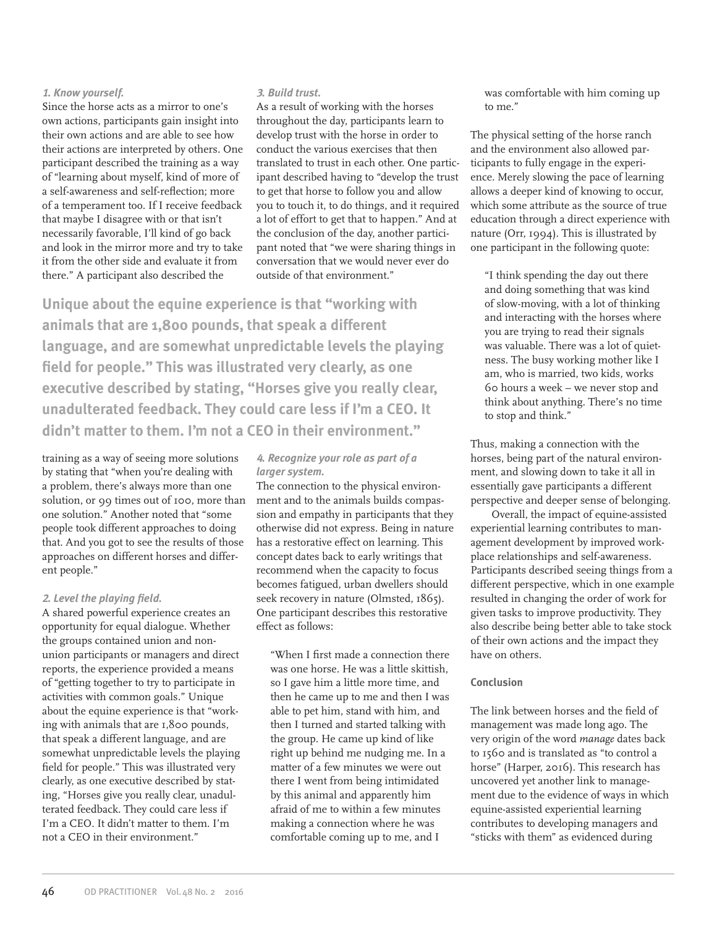# **<sup>1</sup>***. Know yourself.*

Since the horse acts as a mirror to one's own actions, participants gain insight into their own actions and are able to see how their actions are interpreted by others. One participant described the training as a way of "learning about myself, kind of more of a self-awareness and self-reflection; more of a temperament too. If I receive feedback that maybe I disagree with or that isn't necessarily favorable, I'll kind of go back and look in the mirror more and try to take it from the other side and evaluate it from there." A participant also described the

# **3***. Build trust.*

As a result of working with the horses throughout the day, participants learn to develop trust with the horse in order to conduct the various exercises that then translated to trust in each other. One participant described having to "develop the trust to get that horse to follow you and allow you to touch it, to do things, and it required a lot of effort to get that to happen." And at the conclusion of the day, another participant noted that "we were sharing things in conversation that we would never ever do outside of that environment."

**Unique about the equine experience is that "working with animals that are 1,800 pounds, that speak a different language, and are somewhat unpredictable levels the playing field for people." This was illustrated very clearly, as one executive described by stating, "Horses give you really clear, unadulterated feedback. They could care less if I'm a CEO. It didn't matter to them. I'm not a CEO in their environment."**

training as a way of seeing more solutions by stating that "when you're dealing with a problem, there's always more than one solution, or 99 times out of 100, more than one solution." Another noted that "some people took different approaches to doing that. And you got to see the results of those approaches on different horses and different people."

# **<sup>2</sup>***. Level the playing field.*

A shared powerful experience creates an opportunity for equal dialogue. Whether the groups contained union and nonunion participants or managers and direct reports, the experience provided a means of "getting together to try to participate in activities with common goals." Unique about the equine experience is that "working with animals that are 1,800 pounds, that speak a different language, and are somewhat unpredictable levels the playing field for people." This was illustrated very clearly, as one executive described by stating, "Horses give you really clear, unadulterated feedback. They could care less if I'm a CEO. It didn't matter to them. I'm not a CEO in their environment."

# **4***. Recognize your role as part of a larger system.*

The connection to the physical environment and to the animals builds compassion and empathy in participants that they otherwise did not express. Being in nature has a restorative effect on learning. This concept dates back to early writings that recommend when the capacity to focus becomes fatigued, urban dwellers should seek recovery in nature (Olmsted, 1865). One participant describes this restorative effect as follows:

"When I first made a connection there was one horse. He was a little skittish, so I gave him a little more time, and then he came up to me and then I was able to pet him, stand with him, and then I turned and started talking with the group. He came up kind of like right up behind me nudging me. In a matter of a few minutes we were out there I went from being intimidated by this animal and apparently him afraid of me to within a few minutes making a connection where he was comfortable coming up to me, and I

was comfortable with him coming up to me."

The physical setting of the horse ranch and the environment also allowed participants to fully engage in the experience. Merely slowing the pace of learning allows a deeper kind of knowing to occur, which some attribute as the source of true education through a direct experience with nature (Orr, 1994). This is illustrated by one participant in the following quote:

"I think spending the day out there and doing something that was kind of slow-moving, with a lot of thinking and interacting with the horses where you are trying to read their signals was valuable. There was a lot of quietness. The busy working mother like I am, who is married, two kids, works 60 hours a week – we never stop and think about anything. There's no time to stop and think."

Thus, making a connection with the horses, being part of the natural environment, and slowing down to take it all in essentially gave participants a different perspective and deeper sense of belonging.

Overall, the impact of equine-assisted experiential learning contributes to management development by improved workplace relationships and self-awareness. Participants described seeing things from a different perspective, which in one example resulted in changing the order of work for given tasks to improve productivity. They also describe being better able to take stock of their own actions and the impact they have on others.

### **Conclusion**

The link between horses and the field of management was made long ago. The very origin of the word *manage* dates back to 1560 and is translated as "to control a horse" (Harper, 2016). This research has uncovered yet another link to management due to the evidence of ways in which equine-assisted experiential learning contributes to developing managers and "sticks with them" as evidenced during